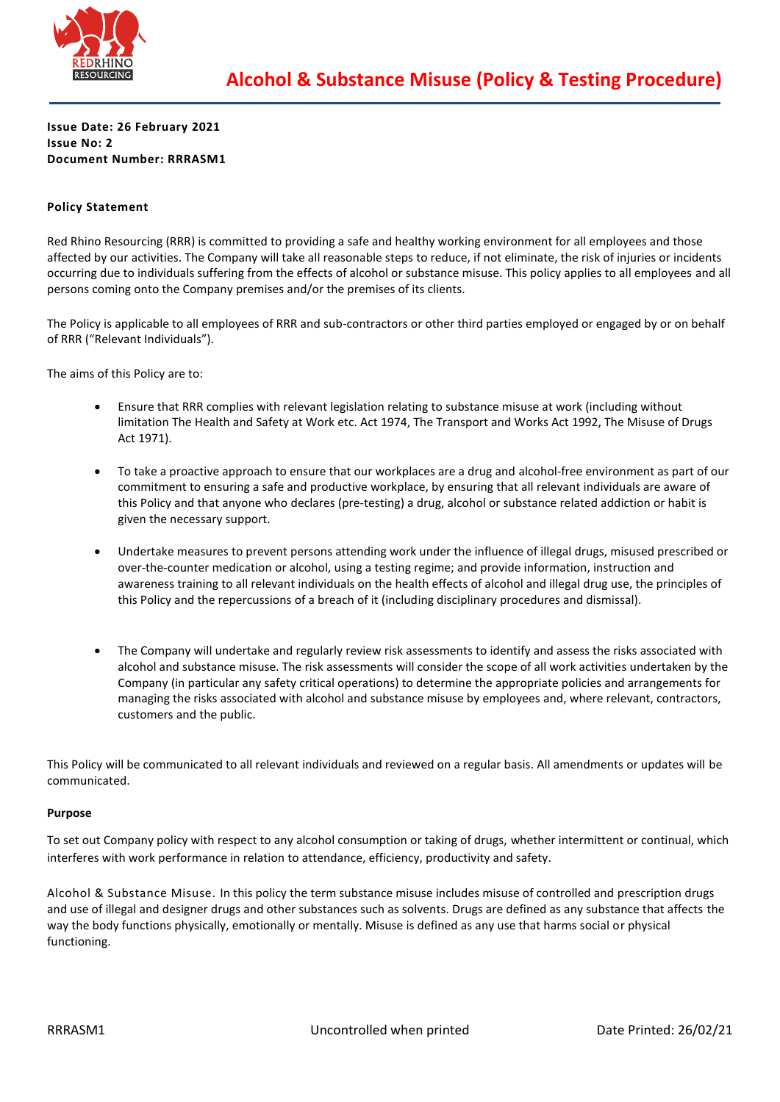

**Issue Date: 26 February 2021 Issue No: 2 Document Number: RRRASM1**

# **Policy Statement**

Red Rhino Resourcing (RRR) is committed to providing a safe and healthy working environment for all employees and those affected by our activities. The Company will take all reasonable steps to reduce, if not eliminate, the risk of injuries or incidents occurring due to individuals suffering from the effects of alcohol or substance misuse. This policy applies to all employees and all persons coming onto the Company premises and/or the premises of its clients.

The Policy is applicable to all employees of RRR and sub-contractors or other third parties employed or engaged by or on behalf of RRR ("Relevant Individuals").

The aims of this Policy are to:

- Ensure that RRR complies with relevant legislation relating to substance misuse at work (including without limitation The Health and Safety at Work etc. Act 1974, The Transport and Works Act 1992, The Misuse of Drugs Act 1971).
- To take a proactive approach to ensure that our workplaces are a drug and alcohol-free environment as part of our commitment to ensuring a safe and productive workplace, by ensuring that all relevant individuals are aware of this Policy and that anyone who declares (pre-testing) a drug, alcohol or substance related addiction or habit is given the necessary support.
- Undertake measures to prevent persons attending work under the influence of illegal drugs, misused prescribed or over-the-counter medication or alcohol, using a testing regime; and provide information, instruction and awareness training to all relevant individuals on the health effects of alcohol and illegal drug use, the principles of this Policy and the repercussions of a breach of it (including disciplinary procedures and dismissal).
- The Company will undertake and regularly review risk assessments to identify and assess the risks associated with alcohol and substance misuse. The risk assessments will consider the scope of all work activities undertaken by the Company (in particular any safety critical operations) to determine the appropriate policies and arrangements for managing the risks associated with alcohol and substance misuse by employees and, where relevant, contractors, customers and the public.

This Policy will be communicated to all relevant individuals and reviewed on a regular basis. All amendments or updates will be communicated.

#### **Purpose**

To set out Company policy with respect to any alcohol consumption or taking of drugs, whether intermittent or continual, which interferes with work performance in relation to attendance, efficiency, productivity and safety.

Alcohol & Substance Misuse. In this policy the term substance misuse includes misuse of controlled and prescription drugs and use of illegal and designer drugs and other substances such as solvents. Drugs are defined as any substance that affects the way the body functions physically, emotionally or mentally. Misuse is defined as any use that harms social or physical functioning.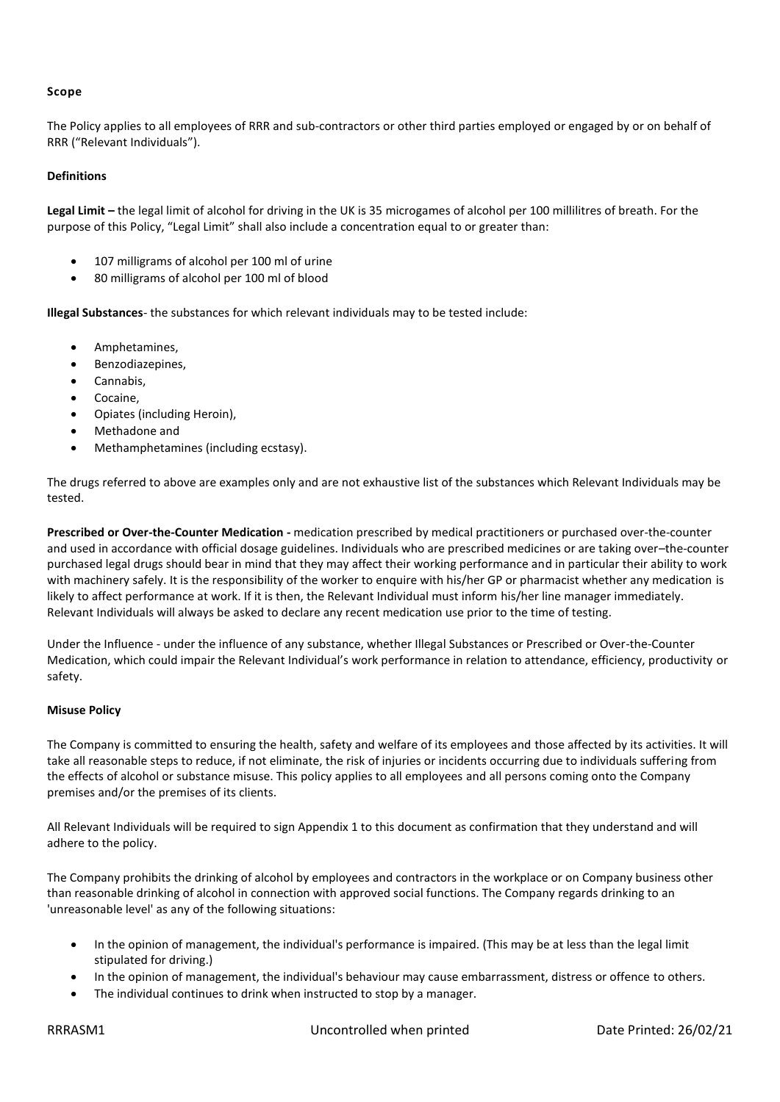# **Scope**

The Policy applies to all employees of RRR and sub-contractors or other third parties employed or engaged by or on behalf of RRR ("Relevant Individuals").

## **Definitions**

**Legal Limit –** the legal limit of alcohol for driving in the UK is 35 microgames of alcohol per 100 millilitres of breath. For the purpose of this Policy, "Legal Limit" shall also include a concentration equal to or greater than:

- 107 milligrams of alcohol per 100 ml of urine
- 80 milligrams of alcohol per 100 ml of blood

**Illegal Substances**- the substances for which relevant individuals may to be tested include:

- Amphetamines,
- Benzodiazepines,
- Cannabis.
- Cocaine.
- Opiates (including Heroin),
- Methadone and
- Methamphetamines (including ecstasy).

The drugs referred to above are examples only and are not exhaustive list of the substances which Relevant Individuals may be tested.

**Prescribed or Over-the-Counter Medication -** medication prescribed by medical practitioners or purchased over-the-counter and used in accordance with official dosage guidelines. Individuals who are prescribed medicines or are taking over–the-counter purchased legal drugs should bear in mind that they may affect their working performance and in particular their ability to work with machinery safely. It is the responsibility of the worker to enquire with his/her GP or pharmacist whether any medication is likely to affect performance at work. If it is then, the Relevant Individual must inform his/her line manager immediately. Relevant Individuals will always be asked to declare any recent medication use prior to the time of testing.

Under the Influence - under the influence of any substance, whether Illegal Substances or Prescribed or Over-the-Counter Medication, which could impair the Relevant Individual's work performance in relation to attendance, efficiency, productivity or safety.

## **Misuse Policy**

The Company is committed to ensuring the health, safety and welfare of its employees and those affected by its activities. It will take all reasonable steps to reduce, if not eliminate, the risk of injuries or incidents occurring due to individuals suffering from the effects of alcohol or substance misuse. This policy applies to all employees and all persons coming onto the Company premises and/or the premises of its clients.

All Relevant Individuals will be required to sign Appendix 1 to this document as confirmation that they understand and will adhere to the policy.

The Company prohibits the drinking of alcohol by employees and contractors in the workplace or on Company business other than reasonable drinking of alcohol in connection with approved social functions. The Company regards drinking to an 'unreasonable level' as any of the following situations:

- In the opinion of management, the individual's performance is impaired. (This may be at less than the legal limit stipulated for driving.)
- In the opinion of management, the individual's behaviour may cause embarrassment, distress or offence to others.
- The individual continues to drink when instructed to stop by a manager.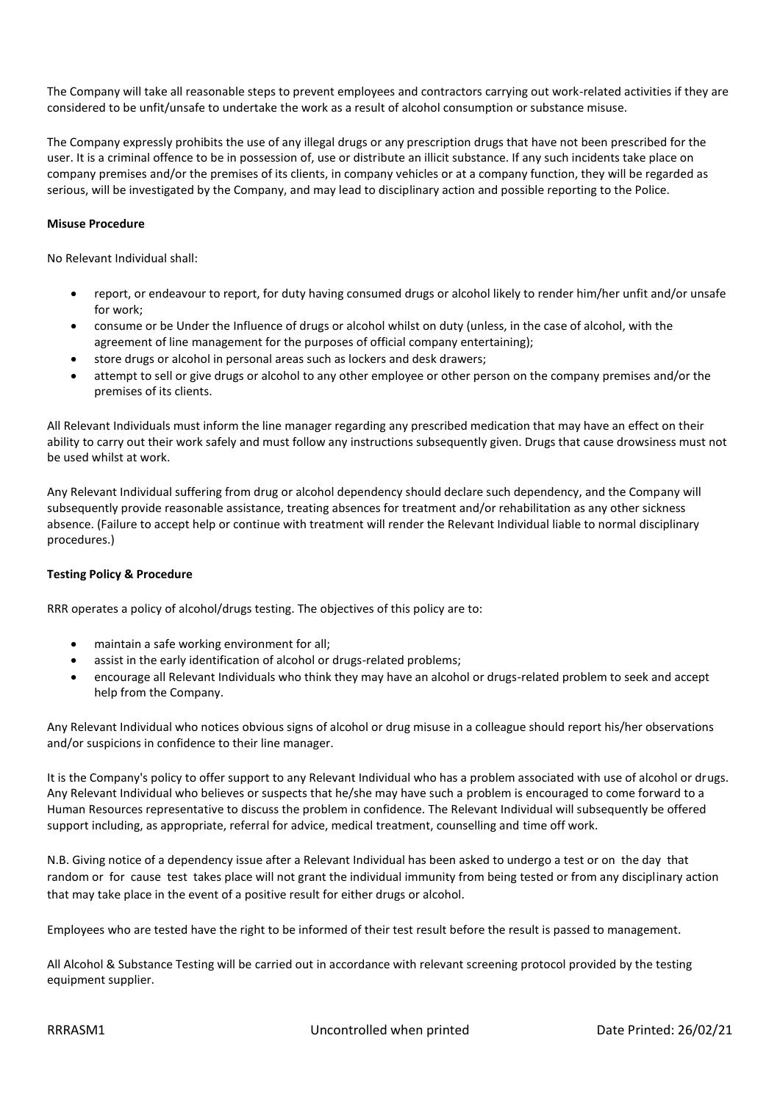The Company will take all reasonable steps to prevent employees and contractors carrying out work-related activities if they are considered to be unfit/unsafe to undertake the work as a result of alcohol consumption or substance misuse.

The Company expressly prohibits the use of any illegal drugs or any prescription drugs that have not been prescribed for the user. It is a criminal offence to be in possession of, use or distribute an illicit substance. If any such incidents take place on company premises and/or the premises of its clients, in company vehicles or at a company function, they will be regarded as serious, will be investigated by the Company, and may lead to disciplinary action and possible reporting to the Police.

## **Misuse Procedure**

No Relevant Individual shall:

- report, or endeavour to report, for duty having consumed drugs or alcohol likely to render him/her unfit and/or unsafe for work;
- consume or be Under the Influence of drugs or alcohol whilst on duty (unless, in the case of alcohol, with the agreement of line management for the purposes of official company entertaining);
- store drugs or alcohol in personal areas such as lockers and desk drawers;
- attempt to sell or give drugs or alcohol to any other employee or other person on the company premises and/or the premises of its clients.

All Relevant Individuals must inform the line manager regarding any prescribed medication that may have an effect on their ability to carry out their work safely and must follow any instructions subsequently given. Drugs that cause drowsiness must not be used whilst at work.

Any Relevant Individual suffering from drug or alcohol dependency should declare such dependency, and the Company will subsequently provide reasonable assistance, treating absences for treatment and/or rehabilitation as any other sickness absence. (Failure to accept help or continue with treatment will render the Relevant Individual liable to normal disciplinary procedures.)

## **Testing Policy & Procedure**

RRR operates a policy of alcohol/drugs testing. The objectives of this policy are to:

- maintain a safe working environment for all;
- assist in the early identification of alcohol or drugs-related problems:
- encourage all Relevant Individuals who think they may have an alcohol or drugs-related problem to seek and accept help from the Company.

Any Relevant Individual who notices obvious signs of alcohol or drug misuse in a colleague should report his/her observations and/or suspicions in confidence to their line manager.

It is the Company's policy to offer support to any Relevant Individual who has a problem associated with use of alcohol or drugs. Any Relevant Individual who believes or suspects that he/she may have such a problem is encouraged to come forward to a Human Resources representative to discuss the problem in confidence. The Relevant Individual will subsequently be offered support including, as appropriate, referral for advice, medical treatment, counselling and time off work.

N.B. Giving notice of a dependency issue after a Relevant Individual has been asked to undergo a test or on the day that random or for cause test takes place will not grant the individual immunity from being tested or from any disciplinary action that may take place in the event of a positive result for either drugs or alcohol.

Employees who are tested have the right to be informed of their test result before the result is passed to management.

All Alcohol & Substance Testing will be carried out in accordance with relevant screening protocol provided by the testing equipment supplier.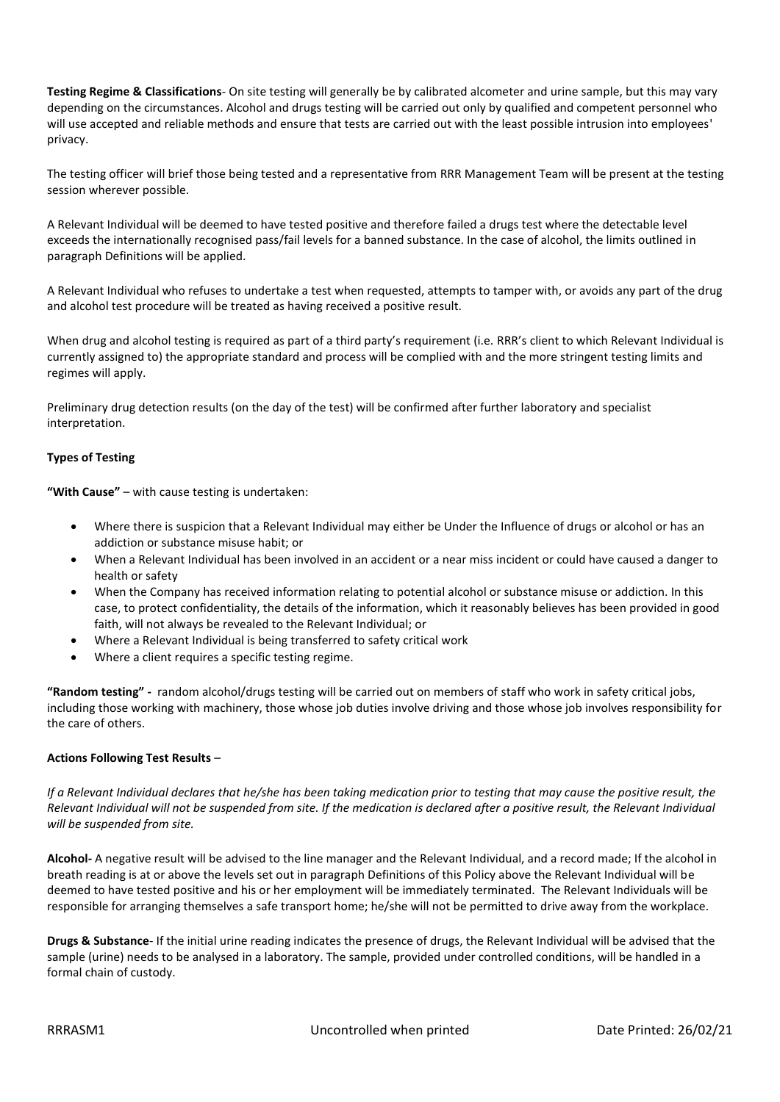**Testing Regime & Classifications**- On site testing will generally be by calibrated alcometer and urine sample, but this may vary depending on the circumstances. Alcohol and drugs testing will be carried out only by qualified and competent personnel who will use accepted and reliable methods and ensure that tests are carried out with the least possible intrusion into employees' privacy.

The testing officer will brief those being tested and a representative from RRR Management Team will be present at the testing session wherever possible.

A Relevant Individual will be deemed to have tested positive and therefore failed a drugs test where the detectable level exceeds the internationally recognised pass/fail levels for a banned substance. In the case of alcohol, the limits outlined in paragraph Definitions will be applied.

A Relevant Individual who refuses to undertake a test when requested, attempts to tamper with, or avoids any part of the drug and alcohol test procedure will be treated as having received a positive result.

When drug and alcohol testing is required as part of a third party's requirement (i.e. RRR's client to which Relevant Individual is currently assigned to) the appropriate standard and process will be complied with and the more stringent testing limits and regimes will apply.

Preliminary drug detection results (on the day of the test) will be confirmed after further laboratory and specialist interpretation.

# **Types of Testing**

**"With Cause"** – with cause testing is undertaken:

- Where there is suspicion that a Relevant Individual may either be Under the Influence of drugs or alcohol or has an addiction or substance misuse habit; or
- When a Relevant Individual has been involved in an accident or a near miss incident or could have caused a danger to health or safety
- When the Company has received information relating to potential alcohol or substance misuse or addiction. In this case, to protect confidentiality, the details of the information, which it reasonably believes has been provided in good faith, will not always be revealed to the Relevant Individual; or
- Where a Relevant Individual is being transferred to safety critical work
- Where a client requires a specific testing regime.

**"Random testing" -** random alcohol/drugs testing will be carried out on members of staff who work in safety critical jobs, including those working with machinery, those whose job duties involve driving and those whose job involves responsibility for the care of others.

## **Actions Following Test Results** –

*If a Relevant Individual declares that he/she has been taking medication prior to testing that may cause the positive result, the Relevant Individual will not be suspended from site. If the medication is declared after a positive result, the Relevant Individual will be suspended from site.*

**Alcohol-** A negative result will be advised to the line manager and the Relevant Individual, and a record made; If the alcohol in breath reading is at or above the levels set out in paragraph Definitions of this Policy above the Relevant Individual will be deemed to have tested positive and his or her employment will be immediately terminated. The Relevant Individuals will be responsible for arranging themselves a safe transport home; he/she will not be permitted to drive away from the workplace.

**Drugs & Substance**- If the initial urine reading indicates the presence of drugs, the Relevant Individual will be advised that the sample (urine) needs to be analysed in a laboratory. The sample, provided under controlled conditions, will be handled in a formal chain of custody.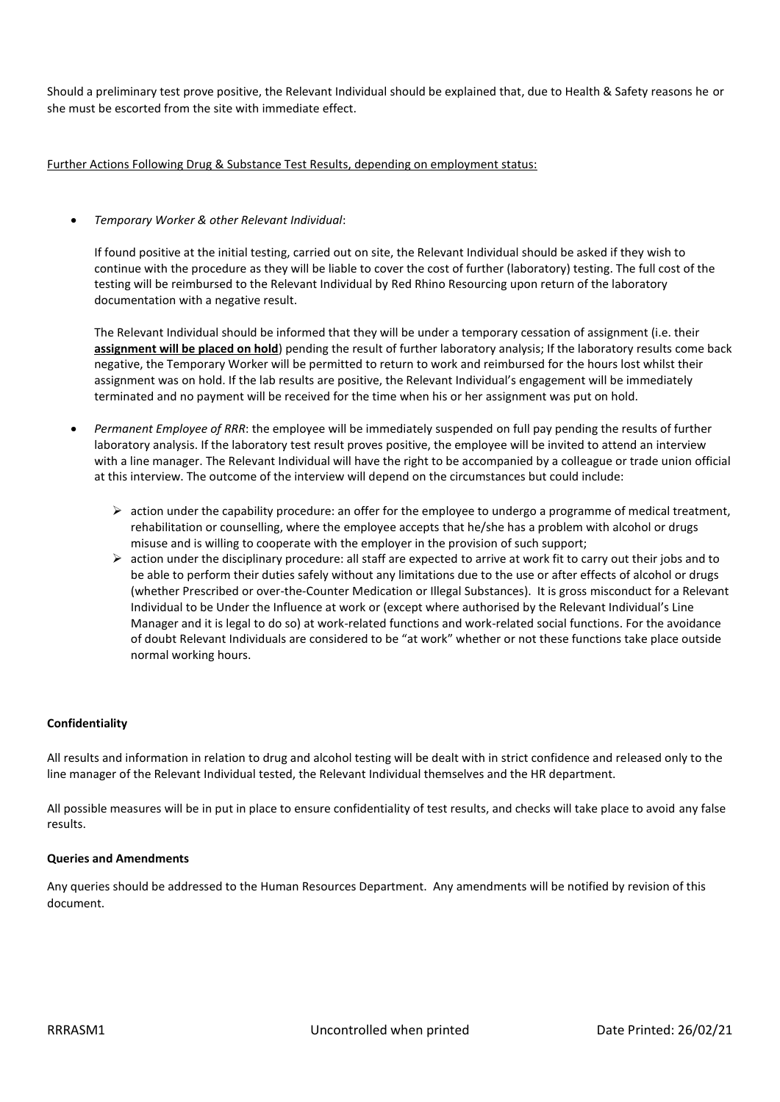Should a preliminary test prove positive, the Relevant Individual should be explained that, due to Health & Safety reasons he or she must be escorted from the site with immediate effect.

Further Actions Following Drug & Substance Test Results, depending on employment status:

## • *Temporary Worker & other Relevant Individual*:

If found positive at the initial testing, carried out on site, the Relevant Individual should be asked if they wish to continue with the procedure as they will be liable to cover the cost of further (laboratory) testing. The full cost of the testing will be reimbursed to the Relevant Individual by Red Rhino Resourcing upon return of the laboratory documentation with a negative result.

The Relevant Individual should be informed that they will be under a temporary cessation of assignment (i.e. their **assignment will be placed on hold**) pending the result of further laboratory analysis; If the laboratory results come back negative, the Temporary Worker will be permitted to return to work and reimbursed for the hours lost whilst their assignment was on hold. If the lab results are positive, the Relevant Individual's engagement will be immediately terminated and no payment will be received for the time when his or her assignment was put on hold.

- *Permanent Employee of RRR*: the employee will be immediately suspended on full pay pending the results of further laboratory analysis. If the laboratory test result proves positive, the employee will be invited to attend an interview with a line manager. The Relevant Individual will have the right to be accompanied by a colleague or trade union official at this interview. The outcome of the interview will depend on the circumstances but could include:
	- $\triangleright$  action under the capability procedure: an offer for the employee to undergo a programme of medical treatment, rehabilitation or counselling, where the employee accepts that he/she has a problem with alcohol or drugs misuse and is willing to cooperate with the employer in the provision of such support;
	- $\triangleright$  action under the disciplinary procedure: all staff are expected to arrive at work fit to carry out their jobs and to be able to perform their duties safely without any limitations due to the use or after effects of alcohol or drugs (whether Prescribed or over-the-Counter Medication or Illegal Substances). It is gross misconduct for a Relevant Individual to be Under the Influence at work or (except where authorised by the Relevant Individual's Line Manager and it is legal to do so) at work-related functions and work-related social functions. For the avoidance of doubt Relevant Individuals are considered to be "at work" whether or not these functions take place outside normal working hours.

## **Confidentiality**

All results and information in relation to drug and alcohol testing will be dealt with in strict confidence and released only to the line manager of the Relevant Individual tested, the Relevant Individual themselves and the HR department.

All possible measures will be in put in place to ensure confidentiality of test results, and checks will take place to avoid any false results.

## **Queries and Amendments**

Any queries should be addressed to the Human Resources Department. Any amendments will be notified by revision of this document.